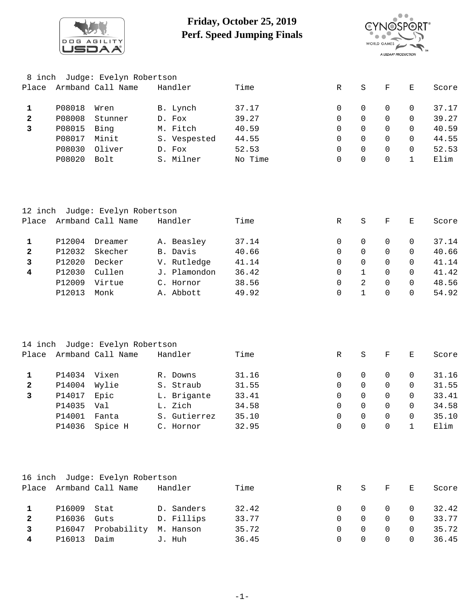

## **Friday, October 25, 2019 Perf. Speed Jumping Finals**



| 8 inch       |        | Judge: Evelyn Robertson                              |              |         |             |                     |             |              |       |
|--------------|--------|------------------------------------------------------|--------------|---------|-------------|---------------------|-------------|--------------|-------|
| Place        |        | Armband Call Name                                    | Handler      | Time    | R           | S                   | $\mathbf F$ | Ε            | Score |
| $\mathbf 1$  | P08018 | Wren                                                 | B. Lynch     | 37.17   | 0           | 0                   | 0           | 0            | 37.17 |
| $\mathbf{2}$ | P08008 | Stunner                                              | D. Fox       | 39.27   | 0           | 0                   | $\mathbf 0$ | 0            | 39.27 |
| 3            | P08015 | Bing                                                 | M. Fitch     | 40.59   | 0           | 0                   | 0           | 0            | 40.59 |
|              | P08017 | Minit                                                | S. Vespested | 44.55   | $\mathbf 0$ | $\Omega$            | $\Omega$    | $\Omega$     | 44.55 |
|              | P08030 | Oliver                                               | D. Fox       | 52.53   | 0           | $\overline{0}$      | $\mathbf 0$ | $\mathbf 0$  | 52.53 |
|              | P08020 | Bolt                                                 | S. Milner    | No Time | 0           | 0                   | $\Omega$    | $\mathbf{1}$ | Elim  |
|              |        |                                                      |              |         |             |                     |             |              |       |
| Place        |        | 12 inch Judge: Evelyn Robertson<br>Armband Call Name | Handler      | Time    | R           |                     | $\mathbf F$ | Ε            | Score |
|              |        |                                                      |              |         |             | S                   |             |              |       |
| $\mathbf{1}$ | P12004 | Dreamer                                              | A. Beasley   | 37.14   | 0           | 0                   | 0           | 0            | 37.14 |
| 2            | P12032 | Skecher                                              | B. Davis     | 40.66   | 0           | 0                   | 0           | 0            | 40.66 |
| 3            | P12020 | Decker                                               | V. Rutledge  | 41.14   | $\mathbf 0$ | 0                   | $\mathbf 0$ | $\Omega$     | 41.14 |
| 4            | P12030 | Cullen                                               | J. Plamondon | 36.42   | 0           | $\mathbf{1}$        | 0           | $\Omega$     | 41.42 |
|              | P12009 | Virtue                                               | C. Hornor    | 38.56   | 0           | 2                   | $\mathbf 0$ | 0            | 48.56 |
|              | P12013 | Monk                                                 | A. Abbott    | 49.92   | $\mathbf 0$ | $\mathbf 1$         | $\Omega$    | $\Omega$     | 54.92 |
|              |        |                                                      |              |         |             |                     |             |              |       |
| 14 inch      |        | Judge: Evelyn Robertson                              |              |         |             |                     |             |              |       |
| Place        |        | Armband Call Name                                    | Handler      | Time    | R           | S                   | $\mathbf F$ | Ε            | Score |
| 1            | P14034 | Vixen                                                | R. Downs     | 31.16   | 0           | 0                   | 0           | 0            | 31.16 |
| $\mathbf{2}$ | P14004 | Wylie                                                | S. Straub    | 31.55   | $\mathbf 0$ | 0                   | $\mathbf 0$ | 0            | 31.55 |
| 3            | P14017 | Epic                                                 | L. Brigante  | 33.41   | $\mathbf 0$ | 0                   | $\Omega$    | $\Omega$     | 33.41 |
|              | P14035 | Val                                                  | L. Zich      | 34.58   | 0           | $\mathsf{O}\xspace$ | $\mathbf 0$ | 0            | 34.58 |
|              | P14001 | Fanta                                                | S. Gutierrez | 35.10   | $\mathsf 0$ | $\mathsf 0$         | 0           | $\mathsf 0$  | 35.10 |
|              | P14036 | Spice H                                              | C. Hornor    | 32.95   | 0           | 0                   | 0           | 1            | Elim  |
|              |        |                                                      |              |         |             |                     |             |              |       |
|              |        | 16 inch Judge: Evelyn Robertson                      |              |         |             |                     |             |              |       |
|              |        | Place Armband Call Name                              | Handler      | Time    | R           | S                   | $\mathbf F$ | Ε            | Score |
| $\mathbf{1}$ | P16009 | Stat                                                 | D. Sanders   | 32.42   | 0           | 0                   | $\mathbf 0$ | 0            | 32.42 |
| 2            | P16036 | Guts                                                 | D. Fillips   | 33.77   | 0           | 0                   | $\mathbf 0$ | 0            | 33.77 |
| 3            | P16047 | Probability M. Hanson                                |              | 35.72   | $\mathbf 0$ | 0                   | 0           | 0            | 35.72 |
|              |        |                                                      |              |         |             |                     |             |              |       |

P16013 Daim J. Huh 36.45 0 0 0 0 36.45 **4**